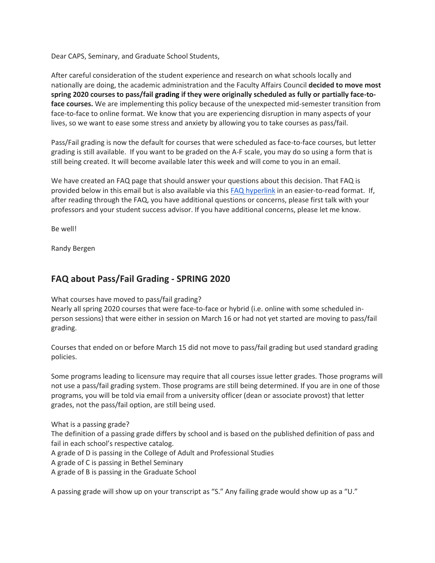Dear CAPS, Seminary, and Graduate School Students,

After careful consideration of the student experience and research on what schools locally and nationally are doing, the academic administration and the Faculty Affairs Council **decided to move most spring 2020 courses to pass/fail grading if they were originally scheduled as fully or partially face-toface courses.** We are implementing this policy because of the unexpected mid-semester transition from face-to-face to online format. We know that you are experiencing disruption in many aspects of your lives, so we want to ease some stress and anxiety by allowing you to take courses as pass/fail.

Pass/Fail grading is now the default for courses that were scheduled as face-to-face courses, but letter grading is still available. If you want to be graded on the A-F scale, you may do so using a form that is still being created. It will become available later this week and will come to you in an email.

We have created an FAQ page that should answer your questions about this decision. That FAQ is provided below in this email but is also available via thi[s FAQ hyperlink](https://confluence.bethel.edu/x/Sgk2Aw) in an easier-to-read format. If, after reading through the FAQ, you have additional questions or concerns, please first talk with your professors and your student success advisor. If you have additional concerns, please let me know.

Be well!

Randy Bergen

## **FAQ about Pass/Fail Grading - SPRING 2020**

What courses have moved to pass/fail grading?

Nearly all spring 2020 courses that were face-to-face or hybrid (i.e. online with some scheduled inperson sessions) that were either in session on March 16 or had not yet started are moving to pass/fail grading.

Courses that ended on or before March 15 did not move to pass/fail grading but used standard grading policies.

Some programs leading to licensure may require that all courses issue letter grades. Those programs will not use a pass/fail grading system. Those programs are still being determined. If you are in one of those programs, you will be told via email from a university officer (dean or associate provost) that letter grades, not the pass/fail option, are still being used.

What is a passing grade? The definition of a passing grade differs by school and is based on the published definition of pass and fail in each school's respective catalog.

A grade of D is passing in the College of Adult and Professional Studies

A grade of C is passing in Bethel Seminary

A grade of B is passing in the Graduate School

A passing grade will show up on your transcript as "S." Any failing grade would show up as a "U."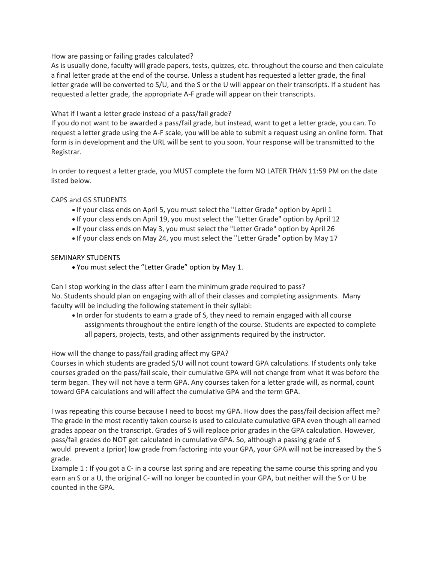How are passing or failing grades calculated?

As is usually done, faculty will grade papers, tests, quizzes, etc. throughout the course and then calculate a final letter grade at the end of the course. Unless a student has requested a letter grade, the final letter grade will be converted to S/U, and the S or the U will appear on their transcripts. If a student has requested a letter grade, the appropriate A-F grade will appear on their transcripts.

## What if I want a letter grade instead of a pass/fail grade?

If you do not want to be awarded a pass/fail grade, but instead, want to get a letter grade, you can. To request a letter grade using the A-F scale, you will be able to submit a request using an online form. That form is in development and the URL will be sent to you soon. Your response will be transmitted to the Registrar.

In order to request a letter grade, you MUST complete the form NO LATER THAN 11:59 PM on the date listed below.

CAPS and GS STUDENTS

- If your class ends on April 5, you must select the "Letter Grade" option by April 1
- If your class ends on April 19, you must select the "Letter Grade" option by April 12
- If your class ends on May 3, you must select the "Letter Grade" option by April 26
- If your class ends on May 24, you must select the "Letter Grade" option by May 17

## SEMINARY STUDENTS

• You must select the "Letter Grade" option by May 1.

Can I stop working in the class after I earn the minimum grade required to pass? No. Students should plan on engaging with all of their classes and completing assignments. Many faculty will be including the following statement in their syllabi:

• In order for students to earn a grade of S, they need to remain engaged with all course assignments throughout the entire length of the course. Students are expected to complete all papers, projects, tests, and other assignments required by the instructor.

How will the change to pass/fail grading affect my GPA?

Courses in which students are graded S/U will not count toward GPA calculations. If students only take courses graded on the pass/fail scale, their cumulative GPA will not change from what it was before the term began. They will not have a term GPA. Any courses taken for a letter grade will, as normal, count toward GPA calculations and will affect the cumulative GPA and the term GPA.

I was repeating this course because I need to boost my GPA. How does the pass/fail decision affect me? The grade in the most recently taken course is used to calculate cumulative GPA even though all earned grades appear on the transcript. Grades of S will replace prior grades in the GPA calculation. However, pass/fail grades do NOT get calculated in cumulative GPA. So, although a passing grade of S would prevent a (prior) low grade from factoring into your GPA, your GPA will not be increased by the S grade.

Example 1 : If you got a C- in a course last spring and are repeating the same course this spring and you earn an S or a U, the original C- will no longer be counted in your GPA, but neither will the S or U be counted in the GPA.